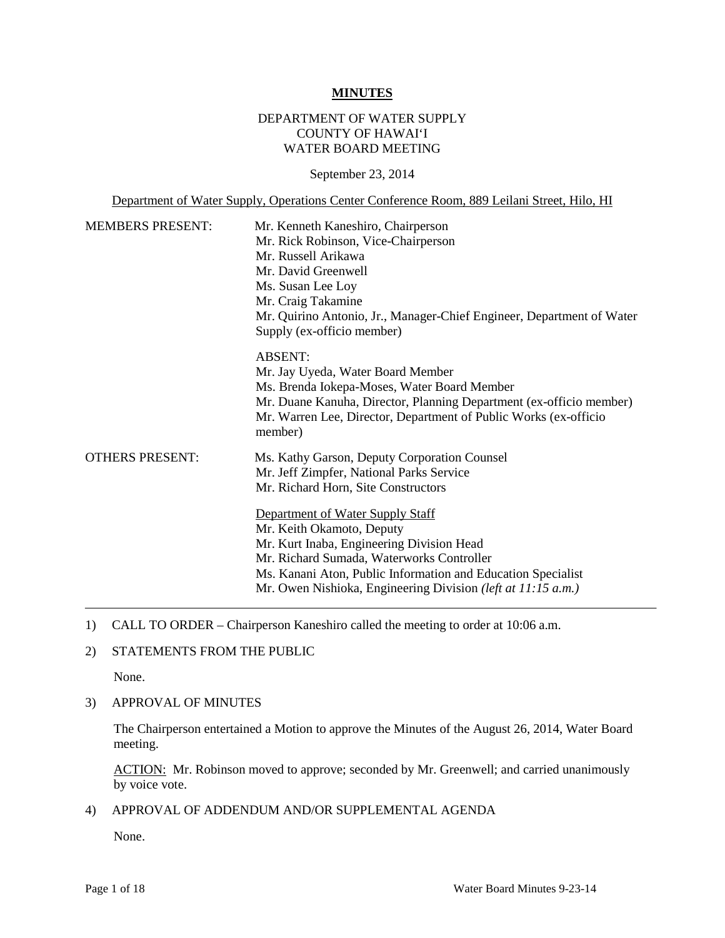#### **MINUTES**

## DEPARTMENT OF WATER SUPPLY COUNTY OF HAWAI'I WATER BOARD MEETING

September 23, 2014

Department of Water Supply, Operations Center Conference Room, 889 Leilani Street, Hilo, HI

| <b>MEMBERS PRESENT:</b> | Mr. Kenneth Kaneshiro, Chairperson                                          |
|-------------------------|-----------------------------------------------------------------------------|
|                         | Mr. Rick Robinson, Vice-Chairperson                                         |
|                         | Mr. Russell Arikawa                                                         |
|                         | Mr. David Greenwell                                                         |
|                         | Ms. Susan Lee Loy                                                           |
|                         | Mr. Craig Takamine                                                          |
|                         | Mr. Quirino Antonio, Jr., Manager-Chief Engineer, Department of Water       |
|                         | Supply (ex-officio member)                                                  |
|                         | <b>ABSENT:</b>                                                              |
|                         | Mr. Jay Uyeda, Water Board Member                                           |
|                         | Ms. Brenda Iokepa-Moses, Water Board Member                                 |
|                         | Mr. Duane Kanuha, Director, Planning Department (ex-officio member)         |
|                         | Mr. Warren Lee, Director, Department of Public Works (ex-officio<br>member) |
| <b>OTHERS PRESENT:</b>  | Ms. Kathy Garson, Deputy Corporation Counsel                                |
|                         | Mr. Jeff Zimpfer, National Parks Service                                    |
|                         | Mr. Richard Horn, Site Constructors                                         |
|                         | Department of Water Supply Staff                                            |
|                         | Mr. Keith Okamoto, Deputy                                                   |
|                         | Mr. Kurt Inaba, Engineering Division Head                                   |
|                         | Mr. Richard Sumada, Waterworks Controller                                   |
|                         | Ms. Kanani Aton, Public Information and Education Specialist                |
|                         | Mr. Owen Nishioka, Engineering Division (left at 11:15 a.m.)                |

1) CALL TO ORDER – Chairperson Kaneshiro called the meeting to order at 10:06 a.m.

# 2) STATEMENTS FROM THE PUBLIC

None.

#### 3) APPROVAL OF MINUTES

The Chairperson entertained a Motion to approve the Minutes of the August 26, 2014, Water Board meeting.

ACTION: Mr. Robinson moved to approve; seconded by Mr. Greenwell; and carried unanimously by voice vote.

4) APPROVAL OF ADDENDUM AND/OR SUPPLEMENTAL AGENDA

None.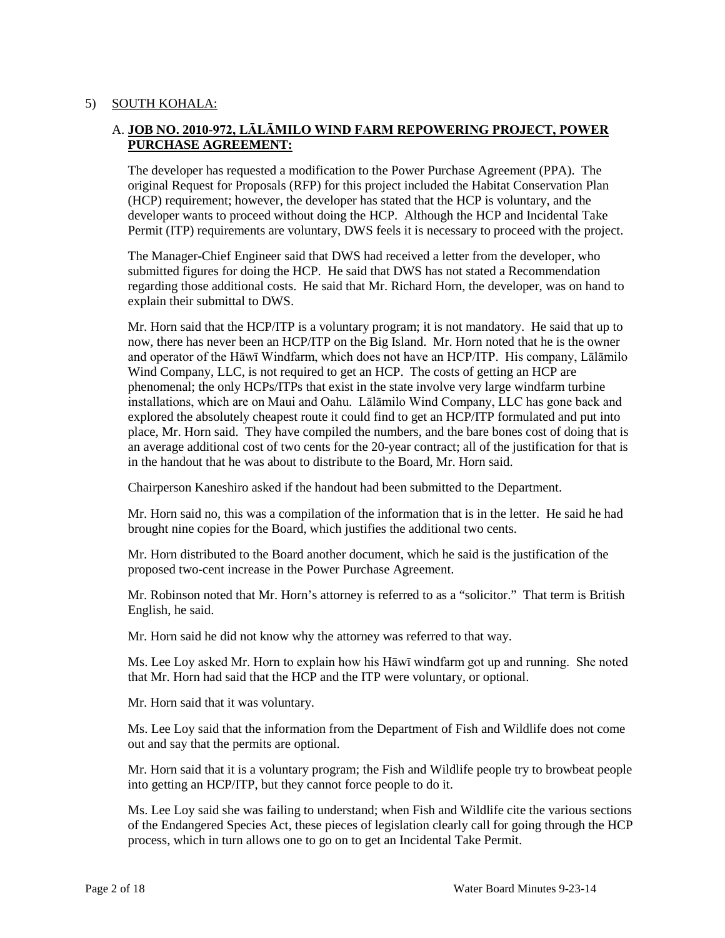## 5) SOUTH KOHALA:

# A. **JOB NO. 2010-972, LĀLĀMILO WIND FARM REPOWERING PROJECT, POWER PURCHASE AGREEMENT:**

The developer has requested a modification to the Power Purchase Agreement (PPA). The original Request for Proposals (RFP) for this project included the Habitat Conservation Plan (HCP) requirement; however, the developer has stated that the HCP is voluntary, and the developer wants to proceed without doing the HCP. Although the HCP and Incidental Take Permit (ITP) requirements are voluntary, DWS feels it is necessary to proceed with the project.

The Manager-Chief Engineer said that DWS had received a letter from the developer, who submitted figures for doing the HCP. He said that DWS has not stated a Recommendation regarding those additional costs. He said that Mr. Richard Horn, the developer, was on hand to explain their submittal to DWS.

Mr. Horn said that the HCP/ITP is a voluntary program; it is not mandatory. He said that up to now, there has never been an HCP/ITP on the Big Island. Mr. Horn noted that he is the owner and operator of the Hāwī Windfarm, which does not have an HCP/ITP. His company, Lālāmilo Wind Company, LLC, is not required to get an HCP. The costs of getting an HCP are phenomenal; the only HCPs/ITPs that exist in the state involve very large windfarm turbine installations, which are on Maui and Oahu. Lālāmilo Wind Company, LLC has gone back and explored the absolutely cheapest route it could find to get an HCP/ITP formulated and put into place, Mr. Horn said. They have compiled the numbers, and the bare bones cost of doing that is an average additional cost of two cents for the 20-year contract; all of the justification for that is in the handout that he was about to distribute to the Board, Mr. Horn said.

Chairperson Kaneshiro asked if the handout had been submitted to the Department.

Mr. Horn said no, this was a compilation of the information that is in the letter. He said he had brought nine copies for the Board, which justifies the additional two cents.

Mr. Horn distributed to the Board another document, which he said is the justification of the proposed two-cent increase in the Power Purchase Agreement.

Mr. Robinson noted that Mr. Horn's attorney is referred to as a "solicitor." That term is British English, he said.

Mr. Horn said he did not know why the attorney was referred to that way.

Ms. Lee Loy asked Mr. Horn to explain how his Hāwī windfarm got up and running. She noted that Mr. Horn had said that the HCP and the ITP were voluntary, or optional.

Mr. Horn said that it was voluntary.

Ms. Lee Loy said that the information from the Department of Fish and Wildlife does not come out and say that the permits are optional.

Mr. Horn said that it is a voluntary program; the Fish and Wildlife people try to browbeat people into getting an HCP/ITP, but they cannot force people to do it.

Ms. Lee Loy said she was failing to understand; when Fish and Wildlife cite the various sections of the Endangered Species Act, these pieces of legislation clearly call for going through the HCP process, which in turn allows one to go on to get an Incidental Take Permit.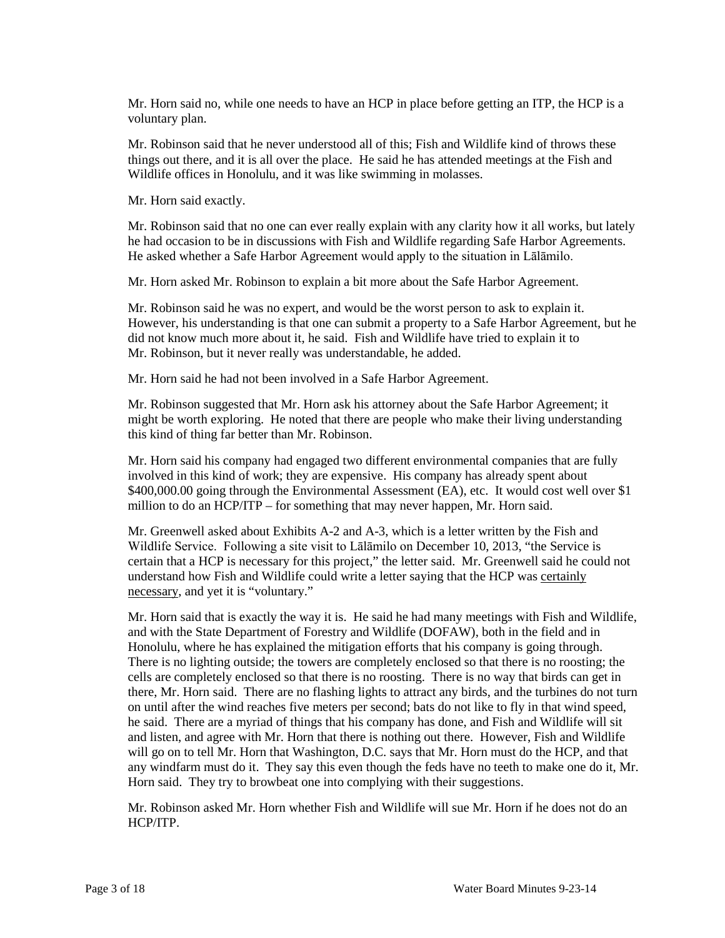Mr. Horn said no, while one needs to have an HCP in place before getting an ITP, the HCP is a voluntary plan.

Mr. Robinson said that he never understood all of this; Fish and Wildlife kind of throws these things out there, and it is all over the place. He said he has attended meetings at the Fish and Wildlife offices in Honolulu, and it was like swimming in molasses.

Mr. Horn said exactly.

Mr. Robinson said that no one can ever really explain with any clarity how it all works, but lately he had occasion to be in discussions with Fish and Wildlife regarding Safe Harbor Agreements. He asked whether a Safe Harbor Agreement would apply to the situation in Lālāmilo.

Mr. Horn asked Mr. Robinson to explain a bit more about the Safe Harbor Agreement.

Mr. Robinson said he was no expert, and would be the worst person to ask to explain it. However, his understanding is that one can submit a property to a Safe Harbor Agreement, but he did not know much more about it, he said. Fish and Wildlife have tried to explain it to Mr. Robinson, but it never really was understandable, he added.

Mr. Horn said he had not been involved in a Safe Harbor Agreement.

Mr. Robinson suggested that Mr. Horn ask his attorney about the Safe Harbor Agreement; it might be worth exploring. He noted that there are people who make their living understanding this kind of thing far better than Mr. Robinson.

Mr. Horn said his company had engaged two different environmental companies that are fully involved in this kind of work; they are expensive. His company has already spent about \$400,000.00 going through the Environmental Assessment (EA), etc. It would cost well over \$1 million to do an HCP/ITP – for something that may never happen, Mr. Horn said.

Mr. Greenwell asked about Exhibits A-2 and A-3, which is a letter written by the Fish and Wildlife Service. Following a site visit to Lālāmilo on December 10, 2013, "the Service is certain that a HCP is necessary for this project," the letter said. Mr. Greenwell said he could not understand how Fish and Wildlife could write a letter saying that the HCP was certainly necessary, and yet it is "voluntary."

Mr. Horn said that is exactly the way it is. He said he had many meetings with Fish and Wildlife, and with the State Department of Forestry and Wildlife (DOFAW), both in the field and in Honolulu, where he has explained the mitigation efforts that his company is going through. There is no lighting outside; the towers are completely enclosed so that there is no roosting; the cells are completely enclosed so that there is no roosting. There is no way that birds can get in there, Mr. Horn said. There are no flashing lights to attract any birds, and the turbines do not turn on until after the wind reaches five meters per second; bats do not like to fly in that wind speed, he said. There are a myriad of things that his company has done, and Fish and Wildlife will sit and listen, and agree with Mr. Horn that there is nothing out there. However, Fish and Wildlife will go on to tell Mr. Horn that Washington, D.C. says that Mr. Horn must do the HCP, and that any windfarm must do it. They say this even though the feds have no teeth to make one do it, Mr. Horn said. They try to browbeat one into complying with their suggestions.

Mr. Robinson asked Mr. Horn whether Fish and Wildlife will sue Mr. Horn if he does not do an HCP/ITP.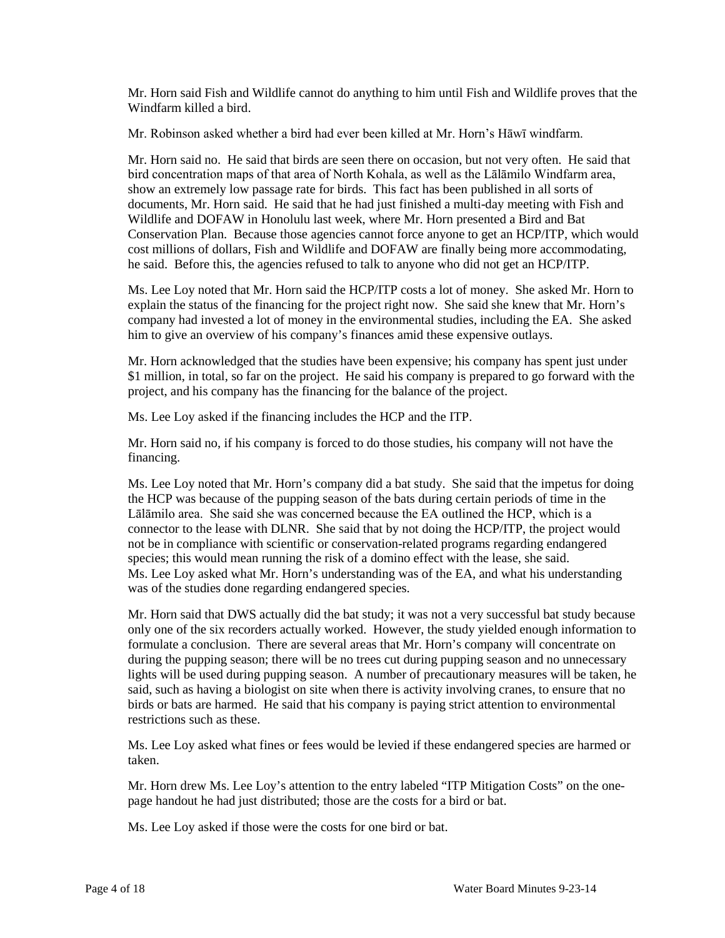Mr. Horn said Fish and Wildlife cannot do anything to him until Fish and Wildlife proves that the Windfarm killed a bird.

Mr. Robinson asked whether a bird had ever been killed at Mr. Horn's Hāwī windfarm.

Mr. Horn said no. He said that birds are seen there on occasion, but not very often. He said that bird concentration maps of that area of North Kohala, as well as the Lālāmilo Windfarm area, show an extremely low passage rate for birds. This fact has been published in all sorts of documents, Mr. Horn said. He said that he had just finished a multi-day meeting with Fish and Wildlife and DOFAW in Honolulu last week, where Mr. Horn presented a Bird and Bat Conservation Plan. Because those agencies cannot force anyone to get an HCP/ITP, which would cost millions of dollars, Fish and Wildlife and DOFAW are finally being more accommodating, he said. Before this, the agencies refused to talk to anyone who did not get an HCP/ITP.

Ms. Lee Loy noted that Mr. Horn said the HCP/ITP costs a lot of money. She asked Mr. Horn to explain the status of the financing for the project right now. She said she knew that Mr. Horn's company had invested a lot of money in the environmental studies, including the EA. She asked him to give an overview of his company's finances amid these expensive outlays.

Mr. Horn acknowledged that the studies have been expensive; his company has spent just under \$1 million, in total, so far on the project. He said his company is prepared to go forward with the project, and his company has the financing for the balance of the project.

Ms. Lee Loy asked if the financing includes the HCP and the ITP.

Mr. Horn said no, if his company is forced to do those studies, his company will not have the financing.

Ms. Lee Loy noted that Mr. Horn's company did a bat study. She said that the impetus for doing the HCP was because of the pupping season of the bats during certain periods of time in the Lālāmilo area. She said she was concerned because the EA outlined the HCP, which is a connector to the lease with DLNR. She said that by not doing the HCP/ITP, the project would not be in compliance with scientific or conservation-related programs regarding endangered species; this would mean running the risk of a domino effect with the lease, she said. Ms. Lee Loy asked what Mr. Horn's understanding was of the EA, and what his understanding was of the studies done regarding endangered species.

Mr. Horn said that DWS actually did the bat study; it was not a very successful bat study because only one of the six recorders actually worked. However, the study yielded enough information to formulate a conclusion. There are several areas that Mr. Horn's company will concentrate on during the pupping season; there will be no trees cut during pupping season and no unnecessary lights will be used during pupping season. A number of precautionary measures will be taken, he said, such as having a biologist on site when there is activity involving cranes, to ensure that no birds or bats are harmed. He said that his company is paying strict attention to environmental restrictions such as these.

Ms. Lee Loy asked what fines or fees would be levied if these endangered species are harmed or taken.

Mr. Horn drew Ms. Lee Loy's attention to the entry labeled "ITP Mitigation Costs" on the onepage handout he had just distributed; those are the costs for a bird or bat.

Ms. Lee Loy asked if those were the costs for one bird or bat.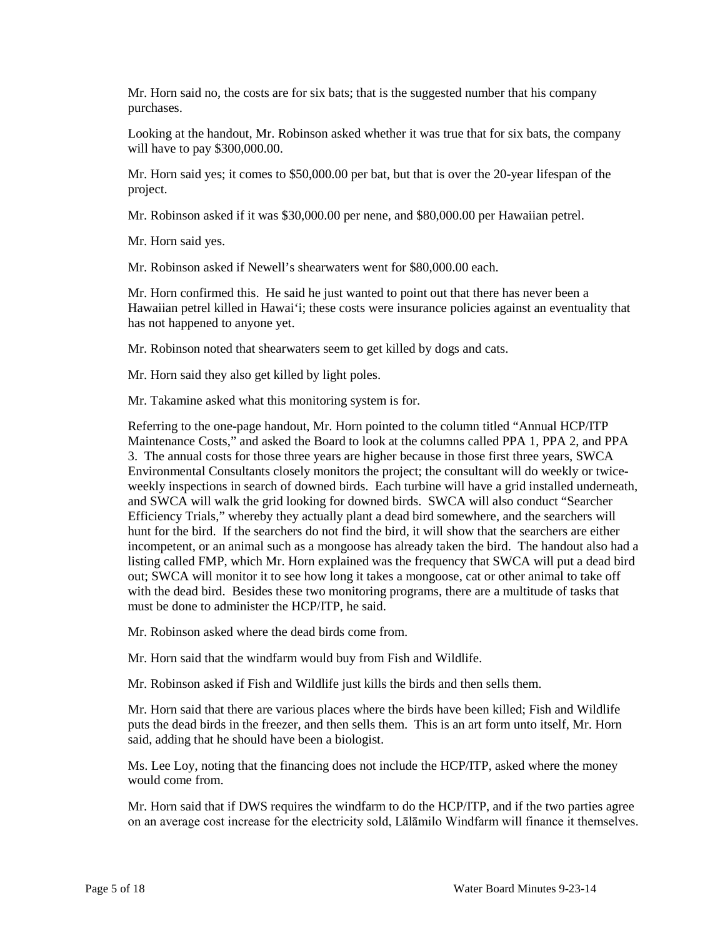Mr. Horn said no, the costs are for six bats; that is the suggested number that his company purchases.

Looking at the handout, Mr. Robinson asked whether it was true that for six bats, the company will have to pay \$300,000.00.

Mr. Horn said yes; it comes to \$50,000.00 per bat, but that is over the 20-year lifespan of the project.

Mr. Robinson asked if it was \$30,000.00 per nene, and \$80,000.00 per Hawaiian petrel.

Mr. Horn said yes.

Mr. Robinson asked if Newell's shearwaters went for \$80,000.00 each.

Mr. Horn confirmed this. He said he just wanted to point out that there has never been a Hawaiian petrel killed in Hawai'i; these costs were insurance policies against an eventuality that has not happened to anyone yet.

Mr. Robinson noted that shearwaters seem to get killed by dogs and cats.

Mr. Horn said they also get killed by light poles.

Mr. Takamine asked what this monitoring system is for.

Referring to the one-page handout, Mr. Horn pointed to the column titled "Annual HCP/ITP Maintenance Costs," and asked the Board to look at the columns called PPA 1, PPA 2, and PPA 3. The annual costs for those three years are higher because in those first three years, SWCA Environmental Consultants closely monitors the project; the consultant will do weekly or twiceweekly inspections in search of downed birds. Each turbine will have a grid installed underneath, and SWCA will walk the grid looking for downed birds. SWCA will also conduct "Searcher Efficiency Trials," whereby they actually plant a dead bird somewhere, and the searchers will hunt for the bird. If the searchers do not find the bird, it will show that the searchers are either incompetent, or an animal such as a mongoose has already taken the bird. The handout also had a listing called FMP, which Mr. Horn explained was the frequency that SWCA will put a dead bird out; SWCA will monitor it to see how long it takes a mongoose, cat or other animal to take off with the dead bird. Besides these two monitoring programs, there are a multitude of tasks that must be done to administer the HCP/ITP, he said.

Mr. Robinson asked where the dead birds come from.

Mr. Horn said that the windfarm would buy from Fish and Wildlife.

Mr. Robinson asked if Fish and Wildlife just kills the birds and then sells them.

Mr. Horn said that there are various places where the birds have been killed; Fish and Wildlife puts the dead birds in the freezer, and then sells them. This is an art form unto itself, Mr. Horn said, adding that he should have been a biologist.

Ms. Lee Loy, noting that the financing does not include the HCP/ITP, asked where the money would come from.

Mr. Horn said that if DWS requires the windfarm to do the HCP/ITP, and if the two parties agree on an average cost increase for the electricity sold, Lālāmilo Windfarm will finance it themselves.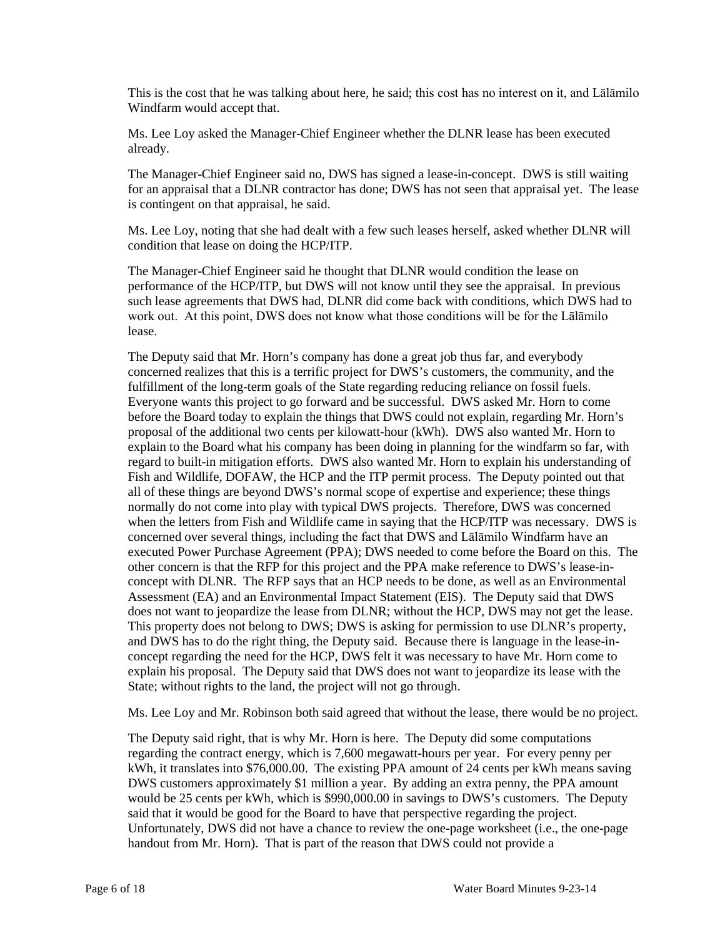This is the cost that he was talking about here, he said; this cost has no interest on it, and Lālāmilo Windfarm would accept that.

Ms. Lee Loy asked the Manager-Chief Engineer whether the DLNR lease has been executed already.

The Manager-Chief Engineer said no, DWS has signed a lease-in-concept. DWS is still waiting for an appraisal that a DLNR contractor has done; DWS has not seen that appraisal yet. The lease is contingent on that appraisal, he said.

Ms. Lee Loy, noting that she had dealt with a few such leases herself, asked whether DLNR will condition that lease on doing the HCP/ITP.

The Manager-Chief Engineer said he thought that DLNR would condition the lease on performance of the HCP/ITP, but DWS will not know until they see the appraisal. In previous such lease agreements that DWS had, DLNR did come back with conditions, which DWS had to work out. At this point, DWS does not know what those conditions will be for the Lālāmilo lease.

The Deputy said that Mr. Horn's company has done a great job thus far, and everybody concerned realizes that this is a terrific project for DWS's customers, the community, and the fulfillment of the long-term goals of the State regarding reducing reliance on fossil fuels. Everyone wants this project to go forward and be successful. DWS asked Mr. Horn to come before the Board today to explain the things that DWS could not explain, regarding Mr. Horn's proposal of the additional two cents per kilowatt-hour (kWh). DWS also wanted Mr. Horn to explain to the Board what his company has been doing in planning for the windfarm so far, with regard to built-in mitigation efforts. DWS also wanted Mr. Horn to explain his understanding of Fish and Wildlife, DOFAW, the HCP and the ITP permit process. The Deputy pointed out that all of these things are beyond DWS's normal scope of expertise and experience; these things normally do not come into play with typical DWS projects. Therefore, DWS was concerned when the letters from Fish and Wildlife came in saying that the HCP/ITP was necessary. DWS is concerned over several things, including the fact that DWS and Lālāmilo Windfarm have an executed Power Purchase Agreement (PPA); DWS needed to come before the Board on this. The other concern is that the RFP for this project and the PPA make reference to DWS's lease-inconcept with DLNR. The RFP says that an HCP needs to be done, as well as an Environmental Assessment (EA) and an Environmental Impact Statement (EIS). The Deputy said that DWS does not want to jeopardize the lease from DLNR; without the HCP, DWS may not get the lease. This property does not belong to DWS; DWS is asking for permission to use DLNR's property, and DWS has to do the right thing, the Deputy said. Because there is language in the lease-inconcept regarding the need for the HCP, DWS felt it was necessary to have Mr. Horn come to explain his proposal. The Deputy said that DWS does not want to jeopardize its lease with the State; without rights to the land, the project will not go through.

Ms. Lee Loy and Mr. Robinson both said agreed that without the lease, there would be no project.

The Deputy said right, that is why Mr. Horn is here. The Deputy did some computations regarding the contract energy, which is 7,600 megawatt-hours per year. For every penny per kWh, it translates into \$76,000.00. The existing PPA amount of 24 cents per kWh means saving DWS customers approximately \$1 million a year. By adding an extra penny, the PPA amount would be 25 cents per kWh, which is \$990,000.00 in savings to DWS's customers. The Deputy said that it would be good for the Board to have that perspective regarding the project. Unfortunately, DWS did not have a chance to review the one-page worksheet (i.e., the one-page handout from Mr. Horn). That is part of the reason that DWS could not provide a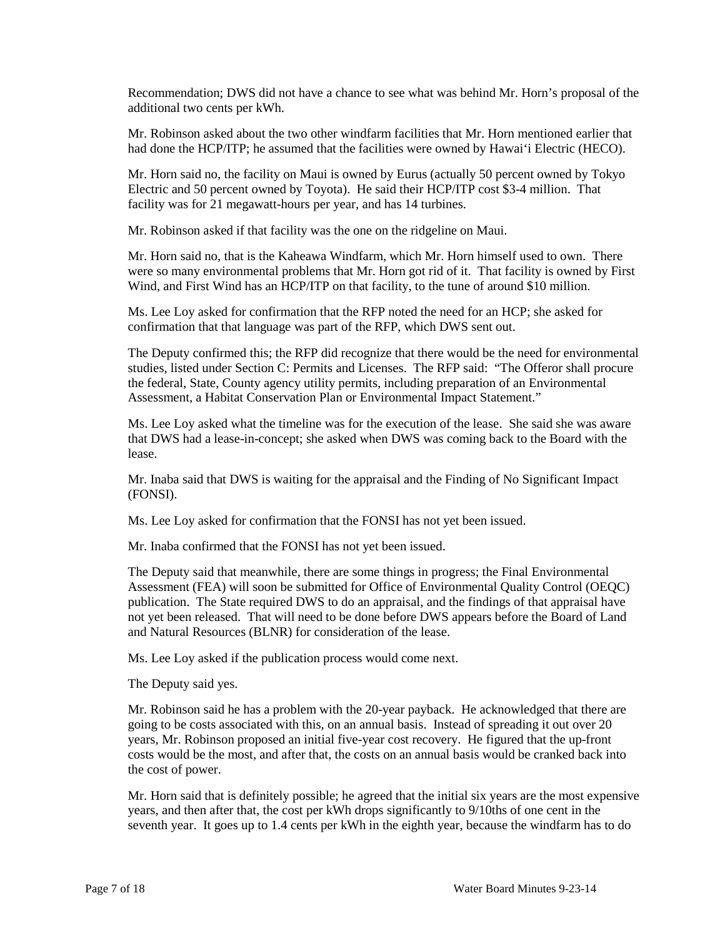Recommendation; DWS did not have a chance to see what was behind Mr. Horn's proposal of the additional two cents per kWh.

Mr. Robinson asked about the two other windfarm facilities that Mr. Horn mentioned earlier that had done the HCP/ITP; he assumed that the facilities were owned by Hawai'i Electric (HECO).

Mr. Horn said no, the facility on Maui is owned by Eurus (actually 50 percent owned by Tokyo Electric and 50 percent owned by Toyota). He said their HCP/ITP cost \$3-4 million. That facility was for 21 megawatt-hours per year, and has 14 turbines.

Mr. Robinson asked if that facility was the one on the ridgeline on Maui.

Mr. Horn said no, that is the Kaheawa Windfarm, which Mr. Horn himself used to own. There were so many environmental problems that Mr. Horn got rid of it. That facility is owned by First Wind, and First Wind has an HCP/ITP on that facility, to the tune of around \$10 million.

Ms. Lee Loy asked for confirmation that the RFP noted the need for an HCP; she asked for confirmation that that language was part of the RFP, which DWS sent out.

The Deputy confirmed this; the RFP did recognize that there would be the need for environmental studies, listed under Section C: Permits and Licenses. The RFP said: "The Offeror shall procure the federal, State, County agency utility permits, including preparation of an Environmental Assessment, a Habitat Conservation Plan or Environmental Impact Statement."

Ms. Lee Loy asked what the timeline was for the execution of the lease. She said she was aware that DWS had a lease-in-concept; she asked when DWS was coming back to the Board with the lease.

Mr. Inaba said that DWS is waiting for the appraisal and the Finding of No Significant Impact (FONSI).

Ms. Lee Loy asked for confirmation that the FONSI has not yet been issued.

Mr. Inaba confirmed that the FONSI has not yet been issued.

The Deputy said that meanwhile, there are some things in progress; the Final Environmental Assessment (FEA) will soon be submitted for Office of Environmental Quality Control (OEQC) publication. The State required DWS to do an appraisal, and the findings of that appraisal have not yet been released. That will need to be done before DWS appears before the Board of Land and Natural Resources (BLNR) for consideration of the lease.

Ms. Lee Loy asked if the publication process would come next.

The Deputy said yes.

Mr. Robinson said he has a problem with the 20-year payback. He acknowledged that there are going to be costs associated with this, on an annual basis. Instead of spreading it out over 20 years, Mr. Robinson proposed an initial five-year cost recovery. He figured that the up-front costs would be the most, and after that, the costs on an annual basis would be cranked back into the cost of power.

Mr. Horn said that is definitely possible; he agreed that the initial six years are the most expensive years, and then after that, the cost per kWh drops significantly to 9/10ths of one cent in the seventh year. It goes up to 1.4 cents per kWh in the eighth year, because the windfarm has to do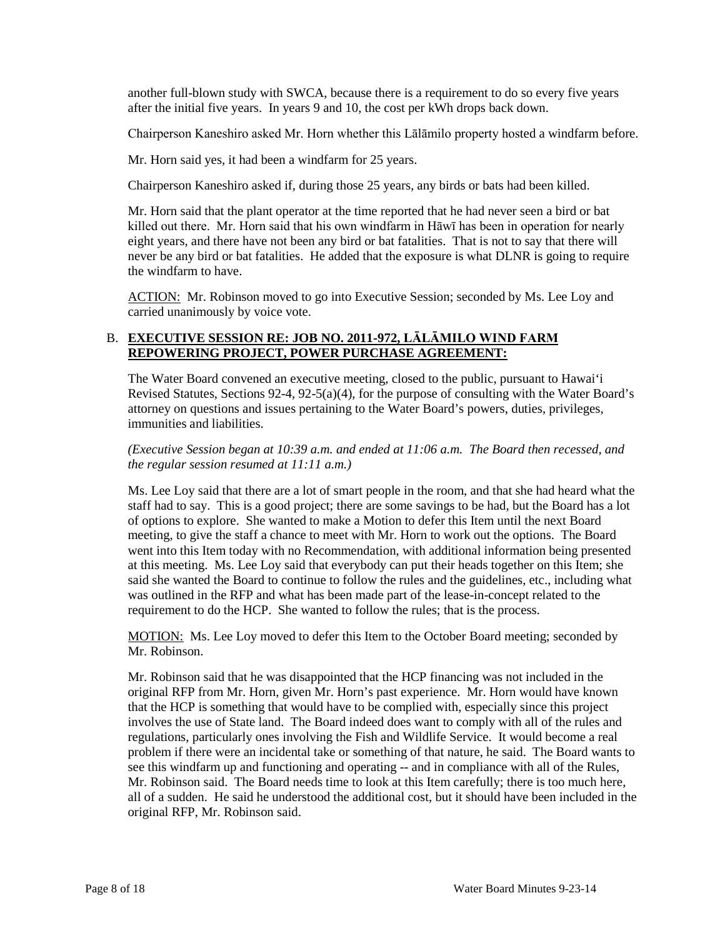another full-blown study with SWCA, because there is a requirement to do so every five years after the initial five years. In years 9 and 10, the cost per kWh drops back down.

Chairperson Kaneshiro asked Mr. Horn whether this Lālāmilo property hosted a windfarm before.

Mr. Horn said yes, it had been a windfarm for 25 years.

Chairperson Kaneshiro asked if, during those 25 years, any birds or bats had been killed.

Mr. Horn said that the plant operator at the time reported that he had never seen a bird or bat killed out there. Mr. Horn said that his own windfarm in Hāwī has been in operation for nearly eight years, and there have not been any bird or bat fatalities. That is not to say that there will never be any bird or bat fatalities. He added that the exposure is what DLNR is going to require the windfarm to have.

ACTION: Mr. Robinson moved to go into Executive Session; seconded by Ms. Lee Loy and carried unanimously by voice vote.

## B. **EXECUTIVE SESSION RE: JOB NO. 2011-972, LĀLĀMILO WIND FARM REPOWERING PROJECT, POWER PURCHASE AGREEMENT:**

The Water Board convened an executive meeting, closed to the public, pursuant to Hawai'i Revised Statutes, Sections 92-4, 92-5(a)(4), for the purpose of consulting with the Water Board's attorney on questions and issues pertaining to the Water Board's powers, duties, privileges, immunities and liabilities.

*(Executive Session began at 10:39 a.m. and ended at 11:06 a.m. The Board then recessed, and the regular session resumed at 11:11 a.m.)*

Ms. Lee Loy said that there are a lot of smart people in the room, and that she had heard what the staff had to say. This is a good project; there are some savings to be had, but the Board has a lot of options to explore. She wanted to make a Motion to defer this Item until the next Board meeting, to give the staff a chance to meet with Mr. Horn to work out the options. The Board went into this Item today with no Recommendation, with additional information being presented at this meeting. Ms. Lee Loy said that everybody can put their heads together on this Item; she said she wanted the Board to continue to follow the rules and the guidelines, etc., including what was outlined in the RFP and what has been made part of the lease-in-concept related to the requirement to do the HCP. She wanted to follow the rules; that is the process.

MOTION: Ms. Lee Loy moved to defer this Item to the October Board meeting; seconded by Mr. Robinson.

Mr. Robinson said that he was disappointed that the HCP financing was not included in the original RFP from Mr. Horn, given Mr. Horn's past experience. Mr. Horn would have known that the HCP is something that would have to be complied with, especially since this project involves the use of State land. The Board indeed does want to comply with all of the rules and regulations, particularly ones involving the Fish and Wildlife Service. It would become a real problem if there were an incidental take or something of that nature, he said. The Board wants to see this windfarm up and functioning and operating -- and in compliance with all of the Rules, Mr. Robinson said. The Board needs time to look at this Item carefully; there is too much here, all of a sudden. He said he understood the additional cost, but it should have been included in the original RFP, Mr. Robinson said.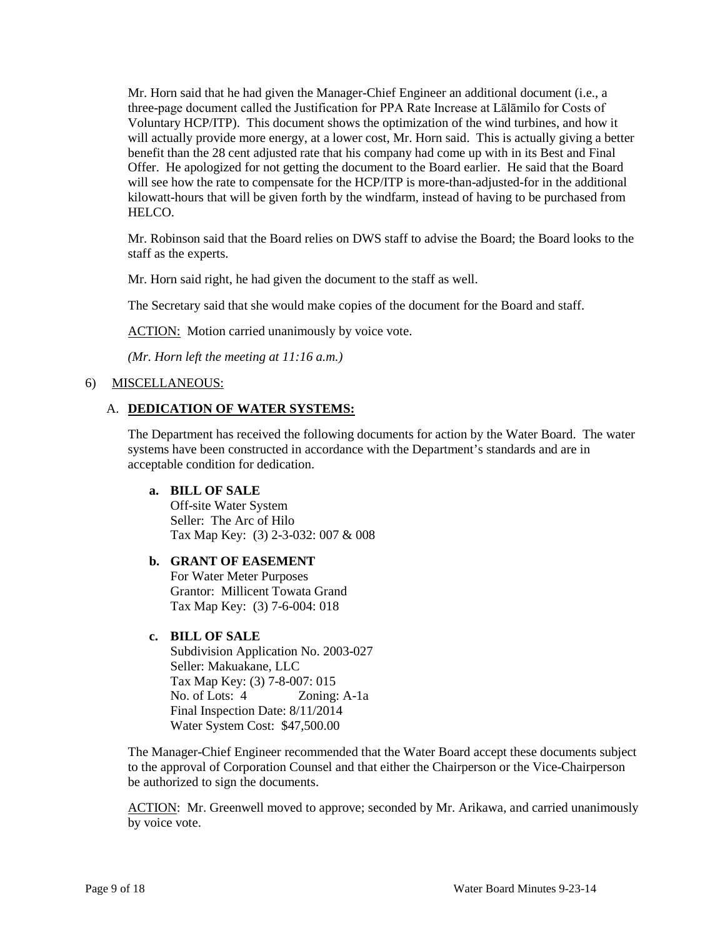Mr. Horn said that he had given the Manager-Chief Engineer an additional document (i.e., a three-page document called the Justification for PPA Rate Increase at Lālāmilo for Costs of Voluntary HCP/ITP). This document shows the optimization of the wind turbines, and how it will actually provide more energy, at a lower cost, Mr. Horn said. This is actually giving a better benefit than the 28 cent adjusted rate that his company had come up with in its Best and Final Offer. He apologized for not getting the document to the Board earlier. He said that the Board will see how the rate to compensate for the HCP/ITP is more-than-adjusted-for in the additional kilowatt-hours that will be given forth by the windfarm, instead of having to be purchased from HELCO.

Mr. Robinson said that the Board relies on DWS staff to advise the Board; the Board looks to the staff as the experts.

Mr. Horn said right, he had given the document to the staff as well.

The Secretary said that she would make copies of the document for the Board and staff.

ACTION: Motion carried unanimously by voice vote.

*(Mr. Horn left the meeting at 11:16 a.m.)*

#### 6) MISCELLANEOUS:

#### A. **DEDICATION OF WATER SYSTEMS:**

The Department has received the following documents for action by the Water Board. The water systems have been constructed in accordance with the Department's standards and are in acceptable condition for dedication.

#### **a. BILL OF SALE**

Off-site Water System Seller: The Arc of Hilo Tax Map Key: (3) 2-3-032: 007 & 008

#### **b. GRANT OF EASEMENT**

For Water Meter Purposes Grantor: Millicent Towata Grand Tax Map Key: (3) 7-6-004: 018

#### **c. BILL OF SALE**

Subdivision Application No. 2003-027 Seller: Makuakane, LLC Tax Map Key: (3) 7-8-007: 015 No. of Lots: 4 Zoning: A-1a Final Inspection Date: 8/11/2014 Water System Cost: \$47,500.00

The Manager-Chief Engineer recommended that the Water Board accept these documents subject to the approval of Corporation Counsel and that either the Chairperson or the Vice-Chairperson be authorized to sign the documents.

ACTION: Mr. Greenwell moved to approve; seconded by Mr. Arikawa, and carried unanimously by voice vote.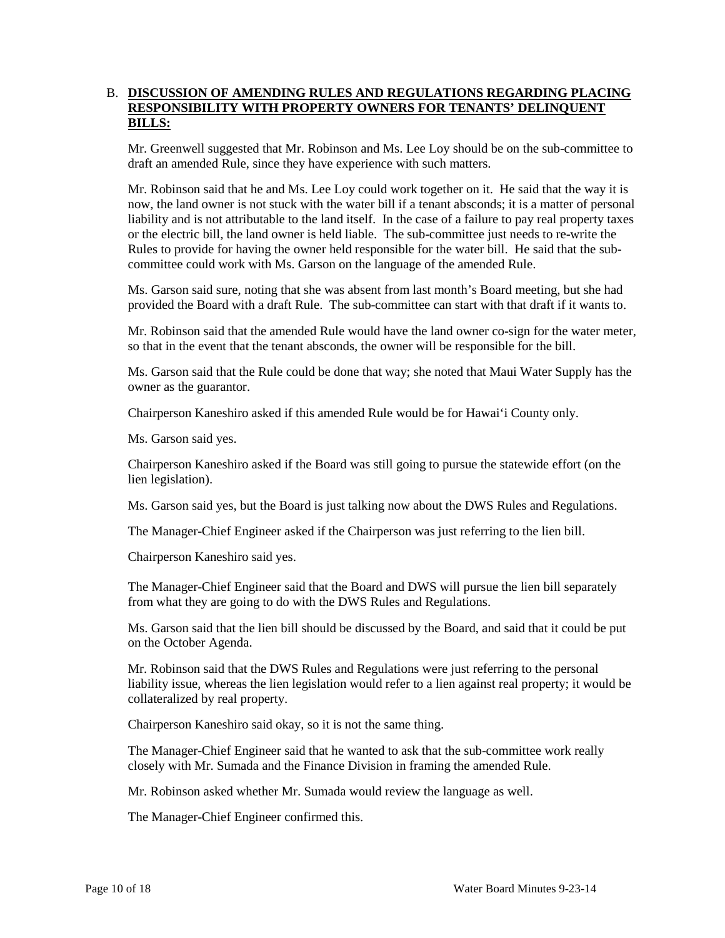## B. **DISCUSSION OF AMENDING RULES AND REGULATIONS REGARDING PLACING RESPONSIBILITY WITH PROPERTY OWNERS FOR TENANTS' DELINQUENT BILLS:**

Mr. Greenwell suggested that Mr. Robinson and Ms. Lee Loy should be on the sub-committee to draft an amended Rule, since they have experience with such matters.

Mr. Robinson said that he and Ms. Lee Loy could work together on it. He said that the way it is now, the land owner is not stuck with the water bill if a tenant absconds; it is a matter of personal liability and is not attributable to the land itself. In the case of a failure to pay real property taxes or the electric bill, the land owner is held liable. The sub-committee just needs to re-write the Rules to provide for having the owner held responsible for the water bill. He said that the subcommittee could work with Ms. Garson on the language of the amended Rule.

Ms. Garson said sure, noting that she was absent from last month's Board meeting, but she had provided the Board with a draft Rule. The sub-committee can start with that draft if it wants to.

Mr. Robinson said that the amended Rule would have the land owner co-sign for the water meter, so that in the event that the tenant absconds, the owner will be responsible for the bill.

Ms. Garson said that the Rule could be done that way; she noted that Maui Water Supply has the owner as the guarantor.

Chairperson Kaneshiro asked if this amended Rule would be for Hawai'i County only.

Ms. Garson said yes.

Chairperson Kaneshiro asked if the Board was still going to pursue the statewide effort (on the lien legislation).

Ms. Garson said yes, but the Board is just talking now about the DWS Rules and Regulations.

The Manager-Chief Engineer asked if the Chairperson was just referring to the lien bill.

Chairperson Kaneshiro said yes.

The Manager-Chief Engineer said that the Board and DWS will pursue the lien bill separately from what they are going to do with the DWS Rules and Regulations.

Ms. Garson said that the lien bill should be discussed by the Board, and said that it could be put on the October Agenda.

Mr. Robinson said that the DWS Rules and Regulations were just referring to the personal liability issue, whereas the lien legislation would refer to a lien against real property; it would be collateralized by real property.

Chairperson Kaneshiro said okay, so it is not the same thing.

The Manager-Chief Engineer said that he wanted to ask that the sub-committee work really closely with Mr. Sumada and the Finance Division in framing the amended Rule.

Mr. Robinson asked whether Mr. Sumada would review the language as well.

The Manager-Chief Engineer confirmed this.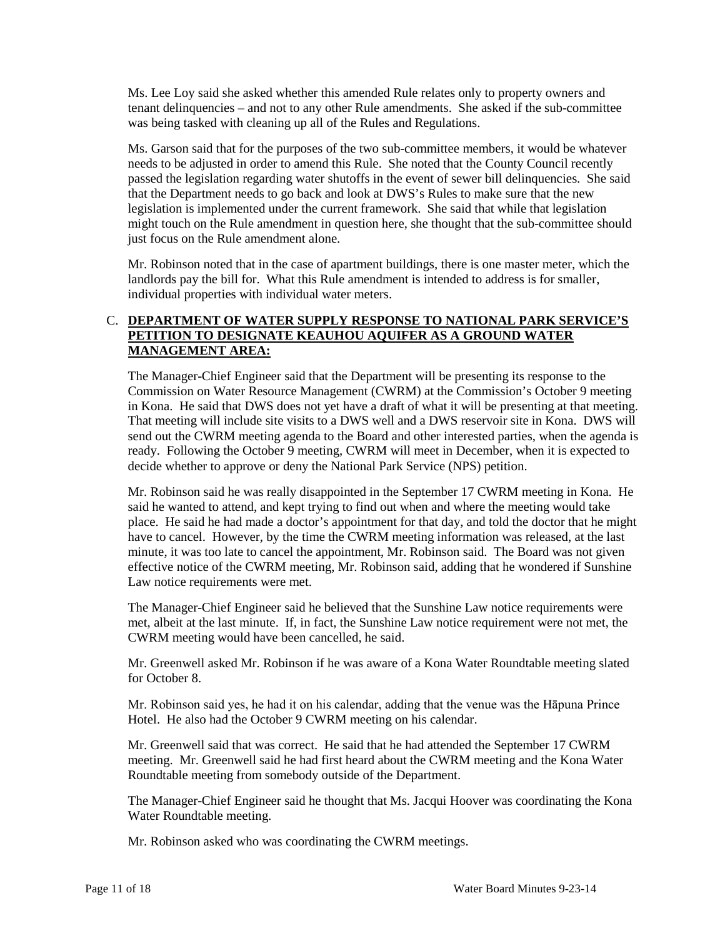Ms. Lee Loy said she asked whether this amended Rule relates only to property owners and tenant delinquencies – and not to any other Rule amendments. She asked if the sub-committee was being tasked with cleaning up all of the Rules and Regulations.

Ms. Garson said that for the purposes of the two sub-committee members, it would be whatever needs to be adjusted in order to amend this Rule. She noted that the County Council recently passed the legislation regarding water shutoffs in the event of sewer bill delinquencies. She said that the Department needs to go back and look at DWS's Rules to make sure that the new legislation is implemented under the current framework. She said that while that legislation might touch on the Rule amendment in question here, she thought that the sub-committee should just focus on the Rule amendment alone.

Mr. Robinson noted that in the case of apartment buildings, there is one master meter, which the landlords pay the bill for. What this Rule amendment is intended to address is for smaller, individual properties with individual water meters.

## C. **DEPARTMENT OF WATER SUPPLY RESPONSE TO NATIONAL PARK SERVICE'S PETITION TO DESIGNATE KEAUHOU AQUIFER AS A GROUND WATER MANAGEMENT AREA:**

The Manager-Chief Engineer said that the Department will be presenting its response to the Commission on Water Resource Management (CWRM) at the Commission's October 9 meeting in Kona. He said that DWS does not yet have a draft of what it will be presenting at that meeting. That meeting will include site visits to a DWS well and a DWS reservoir site in Kona. DWS will send out the CWRM meeting agenda to the Board and other interested parties, when the agenda is ready. Following the October 9 meeting, CWRM will meet in December, when it is expected to decide whether to approve or deny the National Park Service (NPS) petition.

Mr. Robinson said he was really disappointed in the September 17 CWRM meeting in Kona. He said he wanted to attend, and kept trying to find out when and where the meeting would take place. He said he had made a doctor's appointment for that day, and told the doctor that he might have to cancel. However, by the time the CWRM meeting information was released, at the last minute, it was too late to cancel the appointment, Mr. Robinson said. The Board was not given effective notice of the CWRM meeting, Mr. Robinson said, adding that he wondered if Sunshine Law notice requirements were met.

The Manager-Chief Engineer said he believed that the Sunshine Law notice requirements were met, albeit at the last minute. If, in fact, the Sunshine Law notice requirement were not met, the CWRM meeting would have been cancelled, he said.

Mr. Greenwell asked Mr. Robinson if he was aware of a Kona Water Roundtable meeting slated for October 8.

Mr. Robinson said yes, he had it on his calendar, adding that the venue was the Hāpuna Prince Hotel. He also had the October 9 CWRM meeting on his calendar.

Mr. Greenwell said that was correct. He said that he had attended the September 17 CWRM meeting. Mr. Greenwell said he had first heard about the CWRM meeting and the Kona Water Roundtable meeting from somebody outside of the Department.

The Manager-Chief Engineer said he thought that Ms. Jacqui Hoover was coordinating the Kona Water Roundtable meeting.

Mr. Robinson asked who was coordinating the CWRM meetings.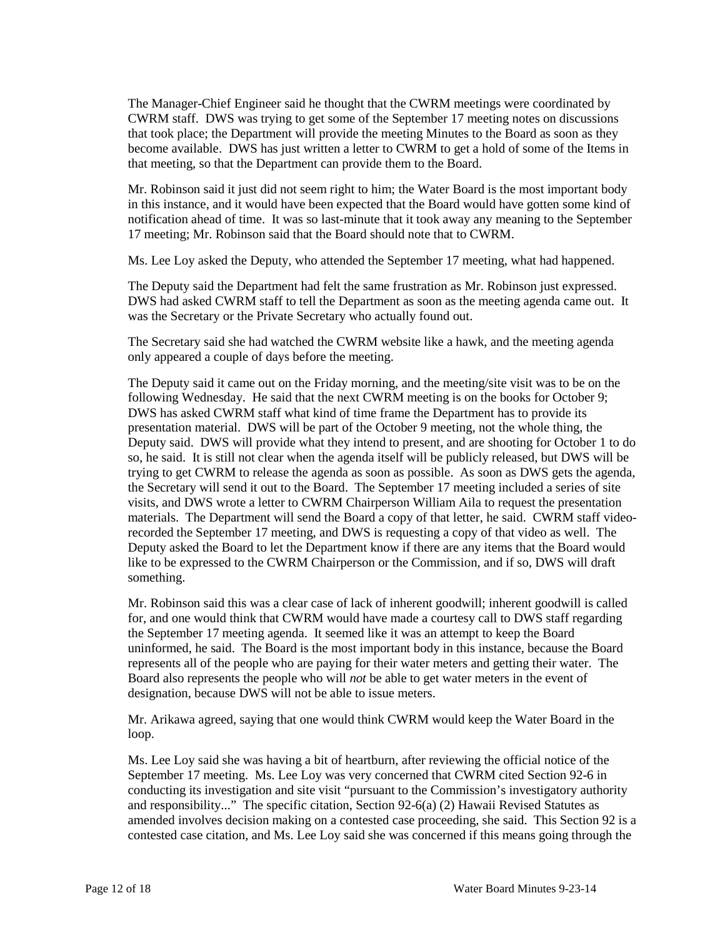The Manager-Chief Engineer said he thought that the CWRM meetings were coordinated by CWRM staff. DWS was trying to get some of the September 17 meeting notes on discussions that took place; the Department will provide the meeting Minutes to the Board as soon as they become available. DWS has just written a letter to CWRM to get a hold of some of the Items in that meeting, so that the Department can provide them to the Board.

Mr. Robinson said it just did not seem right to him; the Water Board is the most important body in this instance, and it would have been expected that the Board would have gotten some kind of notification ahead of time. It was so last-minute that it took away any meaning to the September 17 meeting; Mr. Robinson said that the Board should note that to CWRM.

Ms. Lee Loy asked the Deputy, who attended the September 17 meeting, what had happened.

The Deputy said the Department had felt the same frustration as Mr. Robinson just expressed. DWS had asked CWRM staff to tell the Department as soon as the meeting agenda came out. It was the Secretary or the Private Secretary who actually found out.

The Secretary said she had watched the CWRM website like a hawk, and the meeting agenda only appeared a couple of days before the meeting.

The Deputy said it came out on the Friday morning, and the meeting/site visit was to be on the following Wednesday. He said that the next CWRM meeting is on the books for October 9; DWS has asked CWRM staff what kind of time frame the Department has to provide its presentation material. DWS will be part of the October 9 meeting, not the whole thing, the Deputy said. DWS will provide what they intend to present, and are shooting for October 1 to do so, he said. It is still not clear when the agenda itself will be publicly released, but DWS will be trying to get CWRM to release the agenda as soon as possible. As soon as DWS gets the agenda, the Secretary will send it out to the Board. The September 17 meeting included a series of site visits, and DWS wrote a letter to CWRM Chairperson William Aila to request the presentation materials. The Department will send the Board a copy of that letter, he said. CWRM staff videorecorded the September 17 meeting, and DWS is requesting a copy of that video as well. The Deputy asked the Board to let the Department know if there are any items that the Board would like to be expressed to the CWRM Chairperson or the Commission, and if so, DWS will draft something.

Mr. Robinson said this was a clear case of lack of inherent goodwill; inherent goodwill is called for, and one would think that CWRM would have made a courtesy call to DWS staff regarding the September 17 meeting agenda. It seemed like it was an attempt to keep the Board uninformed, he said. The Board is the most important body in this instance, because the Board represents all of the people who are paying for their water meters and getting their water. The Board also represents the people who will *not* be able to get water meters in the event of designation, because DWS will not be able to issue meters.

Mr. Arikawa agreed, saying that one would think CWRM would keep the Water Board in the loop.

Ms. Lee Loy said she was having a bit of heartburn, after reviewing the official notice of the September 17 meeting. Ms. Lee Loy was very concerned that CWRM cited Section 92-6 in conducting its investigation and site visit "pursuant to the Commission's investigatory authority and responsibility..." The specific citation, Section 92-6(a) (2) Hawaii Revised Statutes as amended involves decision making on a contested case proceeding, she said. This Section 92 is a contested case citation, and Ms. Lee Loy said she was concerned if this means going through the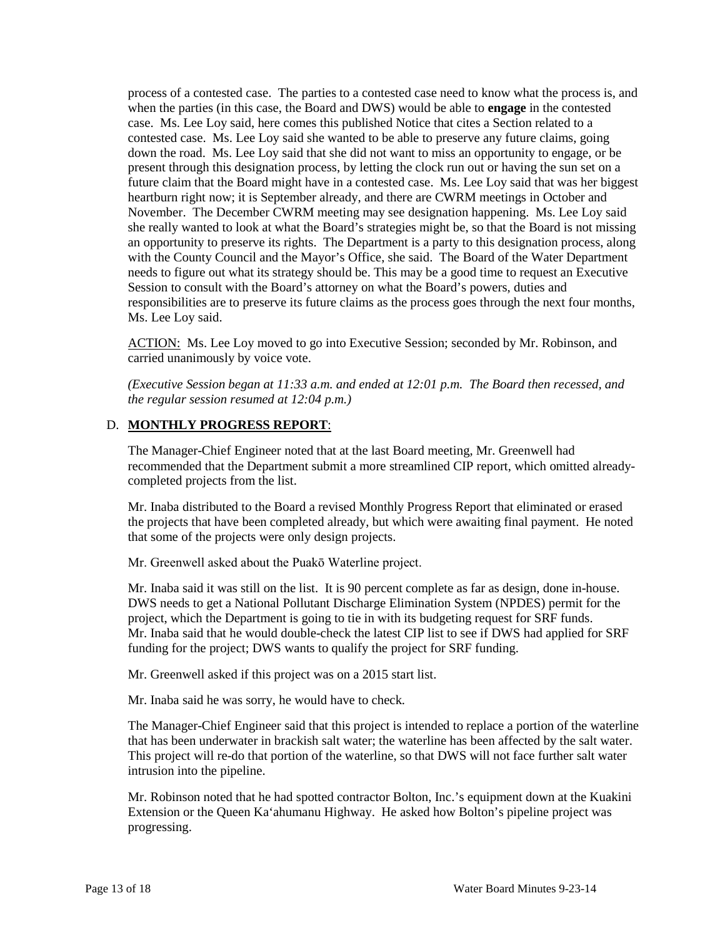process of a contested case. The parties to a contested case need to know what the process is, and when the parties (in this case, the Board and DWS) would be able to **engage** in the contested case. Ms. Lee Loy said, here comes this published Notice that cites a Section related to a contested case. Ms. Lee Loy said she wanted to be able to preserve any future claims, going down the road. Ms. Lee Loy said that she did not want to miss an opportunity to engage, or be present through this designation process, by letting the clock run out or having the sun set on a future claim that the Board might have in a contested case. Ms. Lee Loy said that was her biggest heartburn right now; it is September already, and there are CWRM meetings in October and November. The December CWRM meeting may see designation happening. Ms. Lee Loy said she really wanted to look at what the Board's strategies might be, so that the Board is not missing an opportunity to preserve its rights. The Department is a party to this designation process, along with the County Council and the Mayor's Office, she said. The Board of the Water Department needs to figure out what its strategy should be. This may be a good time to request an Executive Session to consult with the Board's attorney on what the Board's powers, duties and responsibilities are to preserve its future claims as the process goes through the next four months, Ms. Lee Loy said.

ACTION: Ms. Lee Loy moved to go into Executive Session; seconded by Mr. Robinson, and carried unanimously by voice vote.

*(Executive Session began at 11:33 a.m. and ended at 12:01 p.m. The Board then recessed, and the regular session resumed at 12:04 p.m.)*

#### D. **MONTHLY PROGRESS REPORT**:

The Manager-Chief Engineer noted that at the last Board meeting, Mr. Greenwell had recommended that the Department submit a more streamlined CIP report, which omitted alreadycompleted projects from the list.

Mr. Inaba distributed to the Board a revised Monthly Progress Report that eliminated or erased the projects that have been completed already, but which were awaiting final payment. He noted that some of the projects were only design projects.

Mr. Greenwell asked about the Puakō Waterline project.

Mr. Inaba said it was still on the list. It is 90 percent complete as far as design, done in-house. DWS needs to get a National Pollutant Discharge Elimination System (NPDES) permit for the project, which the Department is going to tie in with its budgeting request for SRF funds. Mr. Inaba said that he would double-check the latest CIP list to see if DWS had applied for SRF funding for the project; DWS wants to qualify the project for SRF funding.

Mr. Greenwell asked if this project was on a 2015 start list.

Mr. Inaba said he was sorry, he would have to check.

The Manager-Chief Engineer said that this project is intended to replace a portion of the waterline that has been underwater in brackish salt water; the waterline has been affected by the salt water. This project will re-do that portion of the waterline, so that DWS will not face further salt water intrusion into the pipeline.

Mr. Robinson noted that he had spotted contractor Bolton, Inc.'s equipment down at the Kuakini Extension or the Queen Ka'ahumanu Highway. He asked how Bolton's pipeline project was progressing.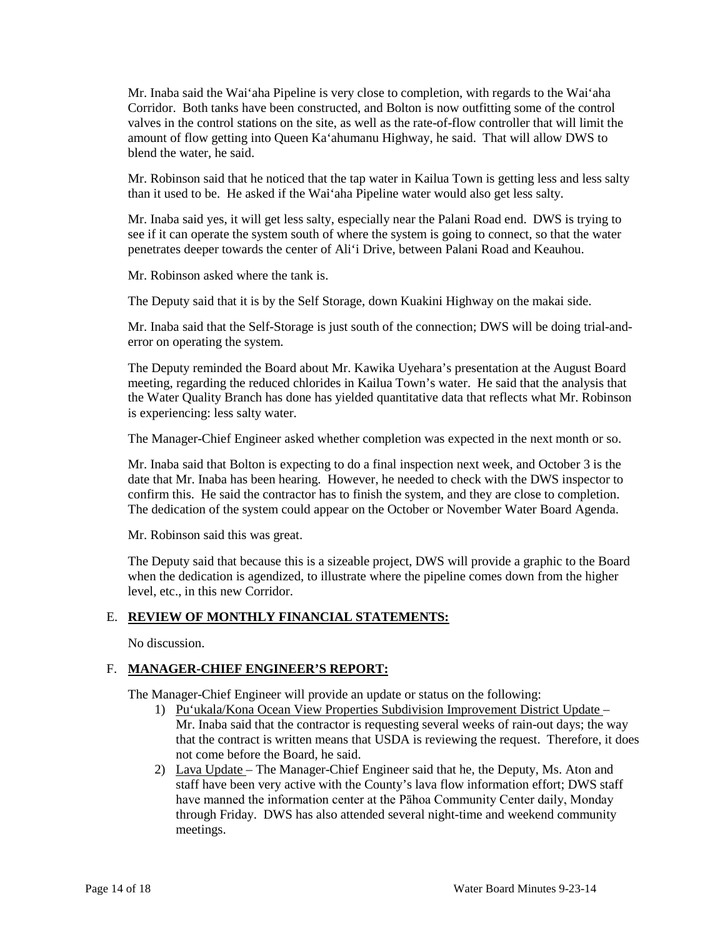Mr. Inaba said the Wai'aha Pipeline is very close to completion, with regards to the Wai'aha Corridor. Both tanks have been constructed, and Bolton is now outfitting some of the control valves in the control stations on the site, as well as the rate-of-flow controller that will limit the amount of flow getting into Queen Ka'ahumanu Highway, he said. That will allow DWS to blend the water, he said.

Mr. Robinson said that he noticed that the tap water in Kailua Town is getting less and less salty than it used to be. He asked if the Wai'aha Pipeline water would also get less salty.

Mr. Inaba said yes, it will get less salty, especially near the Palani Road end. DWS is trying to see if it can operate the system south of where the system is going to connect, so that the water penetrates deeper towards the center of Ali'i Drive, between Palani Road and Keauhou.

Mr. Robinson asked where the tank is.

The Deputy said that it is by the Self Storage, down Kuakini Highway on the makai side.

Mr. Inaba said that the Self-Storage is just south of the connection; DWS will be doing trial-anderror on operating the system.

The Deputy reminded the Board about Mr. Kawika Uyehara's presentation at the August Board meeting, regarding the reduced chlorides in Kailua Town's water. He said that the analysis that the Water Quality Branch has done has yielded quantitative data that reflects what Mr. Robinson is experiencing: less salty water.

The Manager-Chief Engineer asked whether completion was expected in the next month or so.

Mr. Inaba said that Bolton is expecting to do a final inspection next week, and October 3 is the date that Mr. Inaba has been hearing. However, he needed to check with the DWS inspector to confirm this. He said the contractor has to finish the system, and they are close to completion. The dedication of the system could appear on the October or November Water Board Agenda.

Mr. Robinson said this was great.

The Deputy said that because this is a sizeable project, DWS will provide a graphic to the Board when the dedication is agendized, to illustrate where the pipeline comes down from the higher level, etc., in this new Corridor.

#### E. **REVIEW OF MONTHLY FINANCIAL STATEMENTS:**

No discussion.

#### F. **MANAGER-CHIEF ENGINEER'S REPORT:**

The Manager-Chief Engineer will provide an update or status on the following:

- 1) Pu'ukala/Kona Ocean View Properties Subdivision Improvement District Update -Mr. Inaba said that the contractor is requesting several weeks of rain-out days; the way that the contract is written means that USDA is reviewing the request. Therefore, it does not come before the Board, he said.
- 2) Lava Update The Manager-Chief Engineer said that he, the Deputy, Ms. Aton and staff have been very active with the County's lava flow information effort; DWS staff have manned the information center at the Pāhoa Community Center daily, Monday through Friday. DWS has also attended several night-time and weekend community meetings.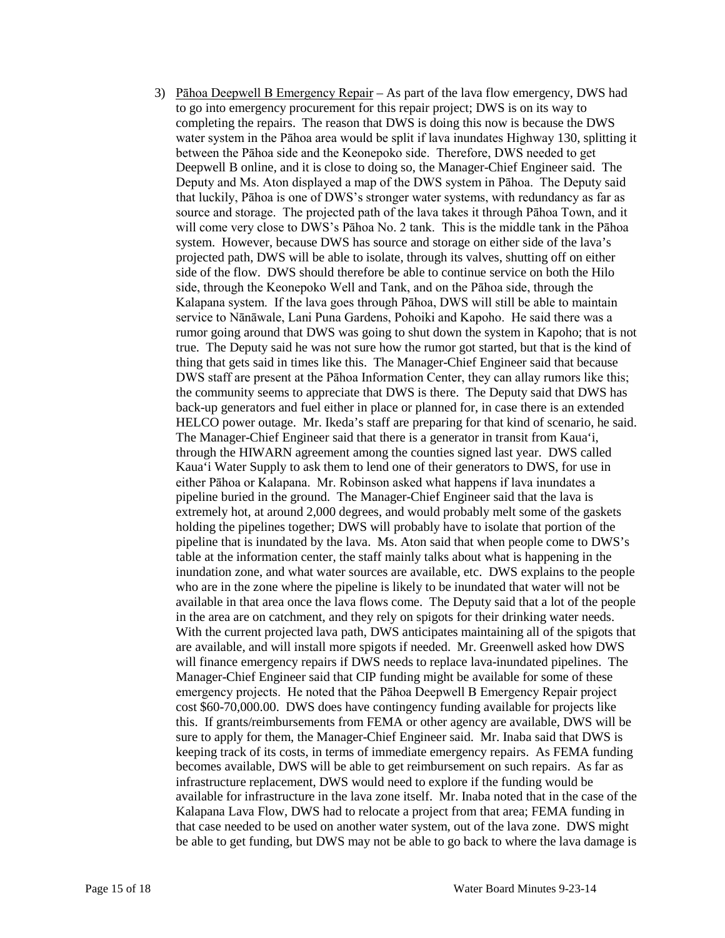3) Pāhoa Deepwell B Emergency Repair – As part of the lava flow emergency, DWS had to go into emergency procurement for this repair project; DWS is on its way to completing the repairs. The reason that DWS is doing this now is because the DWS water system in the Pāhoa area would be split if lava inundates Highway 130, splitting it between the Pāhoa side and the Keonepoko side. Therefore, DWS needed to get Deepwell B online, and it is close to doing so, the Manager-Chief Engineer said. The Deputy and Ms. Aton displayed a map of the DWS system in Pāhoa. The Deputy said that luckily, Pāhoa is one of DWS's stronger water systems, with redundancy as far as source and storage. The projected path of the lava takes it through Pāhoa Town, and it will come very close to DWS's Pāhoa No. 2 tank. This is the middle tank in the Pāhoa system. However, because DWS has source and storage on either side of the lava's projected path, DWS will be able to isolate, through its valves, shutting off on either side of the flow. DWS should therefore be able to continue service on both the Hilo side, through the Keonepoko Well and Tank, and on the Pāhoa side, through the Kalapana system. If the lava goes through Pāhoa, DWS will still be able to maintain service to Nānāwale, Lani Puna Gardens, Pohoiki and Kapoho. He said there was a rumor going around that DWS was going to shut down the system in Kapoho; that is not true. The Deputy said he was not sure how the rumor got started, but that is the kind of thing that gets said in times like this. The Manager-Chief Engineer said that because DWS staff are present at the Pāhoa Information Center, they can allay rumors like this; the community seems to appreciate that DWS is there. The Deputy said that DWS has back-up generators and fuel either in place or planned for, in case there is an extended HELCO power outage. Mr. Ikeda's staff are preparing for that kind of scenario, he said. The Manager-Chief Engineer said that there is a generator in transit from Kaua'i, through the HIWARN agreement among the counties signed last year. DWS called Kaua'i Water Supply to ask them to lend one of their generators to DWS, for use in either Pāhoa or Kalapana. Mr. Robinson asked what happens if lava inundates a pipeline buried in the ground. The Manager-Chief Engineer said that the lava is extremely hot, at around 2,000 degrees, and would probably melt some of the gaskets holding the pipelines together; DWS will probably have to isolate that portion of the pipeline that is inundated by the lava. Ms. Aton said that when people come to DWS's table at the information center, the staff mainly talks about what is happening in the inundation zone, and what water sources are available, etc. DWS explains to the people who are in the zone where the pipeline is likely to be inundated that water will not be available in that area once the lava flows come. The Deputy said that a lot of the people in the area are on catchment, and they rely on spigots for their drinking water needs. With the current projected lava path, DWS anticipates maintaining all of the spigots that are available, and will install more spigots if needed. Mr. Greenwell asked how DWS will finance emergency repairs if DWS needs to replace lava-inundated pipelines. The Manager-Chief Engineer said that CIP funding might be available for some of these emergency projects. He noted that the Pāhoa Deepwell B Emergency Repair project cost \$60-70,000.00. DWS does have contingency funding available for projects like this. If grants/reimbursements from FEMA or other agency are available, DWS will be sure to apply for them, the Manager-Chief Engineer said. Mr. Inaba said that DWS is keeping track of its costs, in terms of immediate emergency repairs. As FEMA funding becomes available, DWS will be able to get reimbursement on such repairs. As far as infrastructure replacement, DWS would need to explore if the funding would be available for infrastructure in the lava zone itself. Mr. Inaba noted that in the case of the Kalapana Lava Flow, DWS had to relocate a project from that area; FEMA funding in that case needed to be used on another water system, out of the lava zone. DWS might be able to get funding, but DWS may not be able to go back to where the lava damage is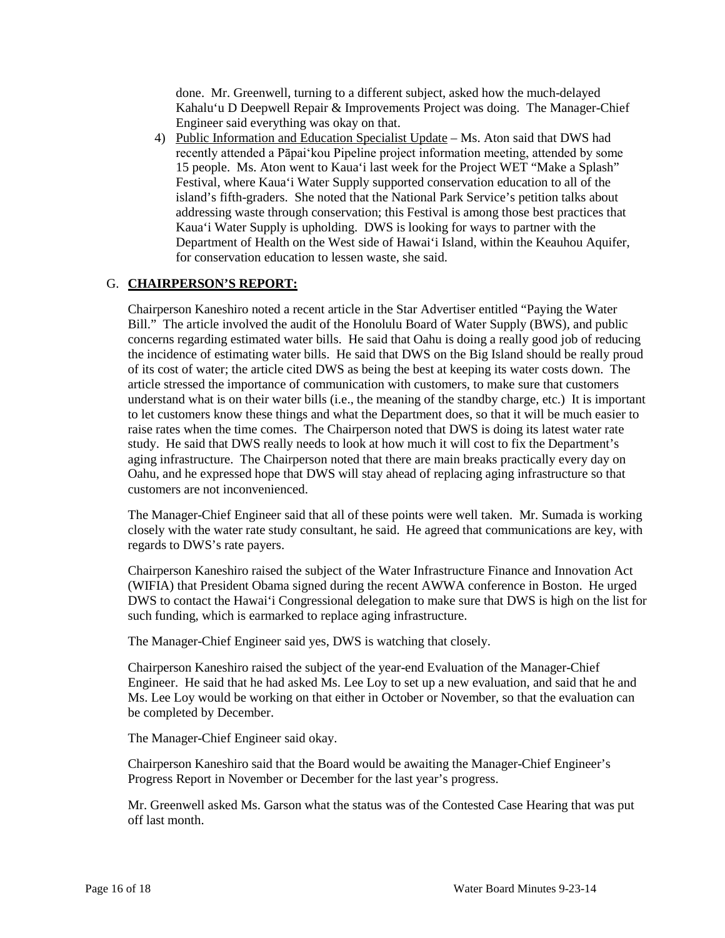done. Mr. Greenwell, turning to a different subject, asked how the much-delayed Kahalu'u D Deepwell Repair & Improvements Project was doing. The Manager-Chief Engineer said everything was okay on that.

4) Public Information and Education Specialist Update – Ms. Aton said that DWS had recently attended a Pāpai'kou Pipeline project information meeting, attended by some 15 people. Ms. Aton went to Kaua'i last week for the Project WET "Make a Splash" Festival, where Kaua'i Water Supply supported conservation education to all of the island's fifth-graders. She noted that the National Park Service's petition talks about addressing waste through conservation; this Festival is among those best practices that Kaua'i Water Supply is upholding. DWS is looking for ways to partner with the Department of Health on the West side of Hawai'i Island, within the Keauhou Aquifer, for conservation education to lessen waste, she said.

# G. **CHAIRPERSON'S REPORT:**

Chairperson Kaneshiro noted a recent article in the Star Advertiser entitled "Paying the Water Bill." The article involved the audit of the Honolulu Board of Water Supply (BWS), and public concerns regarding estimated water bills. He said that Oahu is doing a really good job of reducing the incidence of estimating water bills. He said that DWS on the Big Island should be really proud of its cost of water; the article cited DWS as being the best at keeping its water costs down. The article stressed the importance of communication with customers, to make sure that customers understand what is on their water bills (i.e., the meaning of the standby charge, etc.) It is important to let customers know these things and what the Department does, so that it will be much easier to raise rates when the time comes. The Chairperson noted that DWS is doing its latest water rate study. He said that DWS really needs to look at how much it will cost to fix the Department's aging infrastructure. The Chairperson noted that there are main breaks practically every day on Oahu, and he expressed hope that DWS will stay ahead of replacing aging infrastructure so that customers are not inconvenienced.

The Manager-Chief Engineer said that all of these points were well taken. Mr. Sumada is working closely with the water rate study consultant, he said. He agreed that communications are key, with regards to DWS's rate payers.

Chairperson Kaneshiro raised the subject of the Water Infrastructure Finance and Innovation Act (WIFIA) that President Obama signed during the recent AWWA conference in Boston. He urged DWS to contact the Hawai'i Congressional delegation to make sure that DWS is high on the list for such funding, which is earmarked to replace aging infrastructure.

The Manager-Chief Engineer said yes, DWS is watching that closely.

Chairperson Kaneshiro raised the subject of the year-end Evaluation of the Manager-Chief Engineer. He said that he had asked Ms. Lee Loy to set up a new evaluation, and said that he and Ms. Lee Loy would be working on that either in October or November, so that the evaluation can be completed by December.

The Manager-Chief Engineer said okay.

Chairperson Kaneshiro said that the Board would be awaiting the Manager-Chief Engineer's Progress Report in November or December for the last year's progress.

Mr. Greenwell asked Ms. Garson what the status was of the Contested Case Hearing that was put off last month.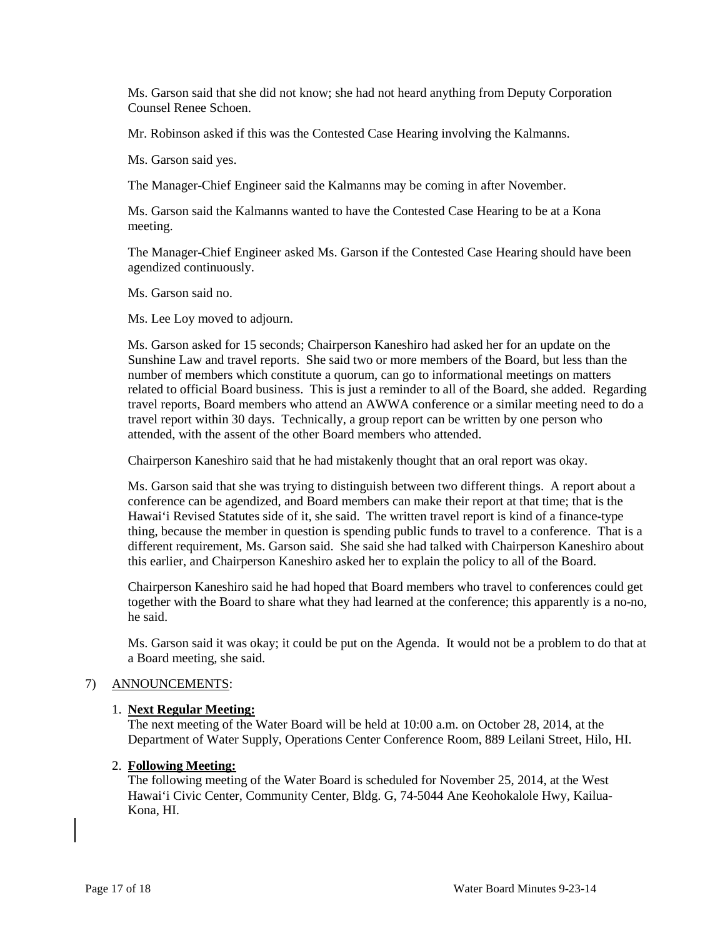Ms. Garson said that she did not know; she had not heard anything from Deputy Corporation Counsel Renee Schoen.

Mr. Robinson asked if this was the Contested Case Hearing involving the Kalmanns.

Ms. Garson said yes.

The Manager-Chief Engineer said the Kalmanns may be coming in after November.

Ms. Garson said the Kalmanns wanted to have the Contested Case Hearing to be at a Kona meeting.

The Manager-Chief Engineer asked Ms. Garson if the Contested Case Hearing should have been agendized continuously.

Ms. Garson said no.

Ms. Lee Loy moved to adjourn.

Ms. Garson asked for 15 seconds; Chairperson Kaneshiro had asked her for an update on the Sunshine Law and travel reports. She said two or more members of the Board, but less than the number of members which constitute a quorum, can go to informational meetings on matters related to official Board business. This is just a reminder to all of the Board, she added. Regarding travel reports, Board members who attend an AWWA conference or a similar meeting need to do a travel report within 30 days. Technically, a group report can be written by one person who attended, with the assent of the other Board members who attended.

Chairperson Kaneshiro said that he had mistakenly thought that an oral report was okay.

Ms. Garson said that she was trying to distinguish between two different things. A report about a conference can be agendized, and Board members can make their report at that time; that is the Hawai'i Revised Statutes side of it, she said. The written travel report is kind of a finance-type thing, because the member in question is spending public funds to travel to a conference. That is a different requirement, Ms. Garson said. She said she had talked with Chairperson Kaneshiro about this earlier, and Chairperson Kaneshiro asked her to explain the policy to all of the Board.

Chairperson Kaneshiro said he had hoped that Board members who travel to conferences could get together with the Board to share what they had learned at the conference; this apparently is a no-no, he said.

Ms. Garson said it was okay; it could be put on the Agenda. It would not be a problem to do that at a Board meeting, she said.

#### 7) ANNOUNCEMENTS:

## 1. **Next Regular Meeting:**

The next meeting of the Water Board will be held at 10:00 a.m. on October 28, 2014, at the Department of Water Supply, Operations Center Conference Room, 889 Leilani Street, Hilo, HI.

#### 2. **Following Meeting:**

The following meeting of the Water Board is scheduled for November 25, 2014, at the West Hawai'i Civic Center, Community Center, Bldg. G, 74-5044 Ane Keohokalole Hwy, Kailua-Kona, HI.